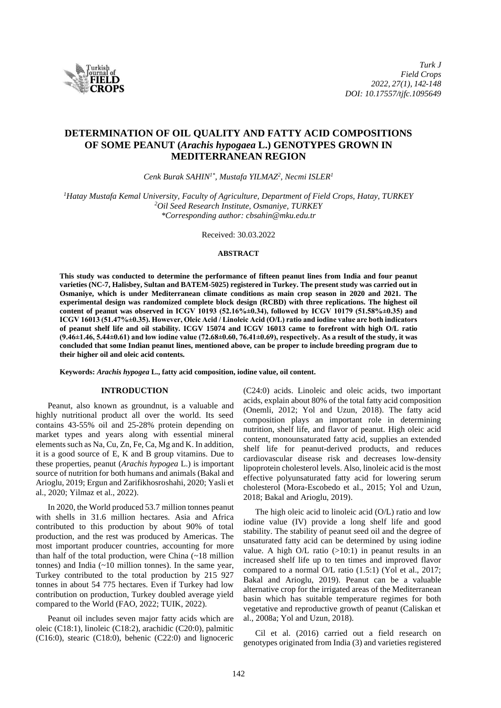

# **DETERMINATION OF OIL QUALITY AND FATTY ACID COMPOSITIONS OF SOME PEANUT (***Arachis hypogaea* **L.) GENOTYPES GROWN IN MEDITERRANEAN REGION**

*Cenk Burak SAHIN1\*, Mustafa YILMAZ<sup>2</sup> , Necmi ISLER<sup>1</sup>*

*<sup>1</sup>Hatay Mustafa Kemal University, Faculty of Agriculture, Department of Field Crops, Hatay, TURKEY <sup>2</sup>Oil Seed Research Institute, Osmaniye, TURKEY \*Corresponding author: cbsahin@mku.edu.tr*

Received: 30.03.2022

# **ABSTRACT**

**This study was conducted to determine the performance of fifteen peanut lines from India and four peanut varieties (NC-7, Halisbey, Sultan and BATEM-5025) registered in Turkey. The present study was carried out in Osmaniye, which is under Mediterranean climate conditions as main crop season in 2020 and 2021. The experimental design was randomized complete block design (RCBD) with three replications. The highest oil content of peanut was observed in ICGV 10193 (52.16%±0.34), followed by ICGV 10179 (51.58%±0.35) and ICGV 16013 (51.47%±0.35). However, Oleic Acid / Linoleic Acid (O/L) ratio and iodine value are both indicators of peanut shelf life and oil stability. ICGV 15074 and ICGV 16013 came to forefront with high O/L ratio (9.46±1.46, 5.44±0.61) and low iodine value (72.68±0.60, 76.41±0.69), respectively. As a result of the study, it was concluded that some Indian peanut lines, mentioned above, can be proper to include breeding program due to their higher oil and oleic acid contents.**

**Keywords:** *Arachis hypogea* **L., fatty acid composition, iodine value, oil content.**

# **INTRODUCTION**

Peanut, also known as groundnut, is a valuable and highly nutritional product all over the world. Its seed contains 43-55% oil and 25-28% protein depending on market types and years along with essential mineral elements such as Na, Cu, Zn, Fe, Ca, Mg and K. In addition, it is a good source of E, K and B group vitamins. Due to these properties, peanut (*Arachis hypogea* L.) is important source of nutrition for both humans and animals (Bakal and Arioglu, 2019; Ergun and Zarifikhosroshahi, 2020; Yasli et al., 2020; Yilmaz et al., 2022).

In 2020, the World produced 53.7 million tonnes peanut with shells in 31.6 million hectares. Asia and Africa contributed to this production by about 90% of total production, and the rest was produced by Americas. The most important producer countries, accounting for more than half of the total production, were China (~18 million tonnes) and India (~10 million tonnes). In the same year, Turkey contributed to the total production by 215 927 tonnes in about 54 775 hectares. Even if Turkey had low contribution on production, Turkey doubled average yield compared to the World (FAO, 2022; TUIK, 2022).

Peanut oil includes seven major fatty acids which are oleic (C18:1), linoleic (C18:2), arachidic (C20:0), palmitic (C16:0), stearic (C18:0), behenic (C22:0) and lignoceric

(C24:0) acids. Linoleic and oleic acids, two important acids, explain about 80% of the total fatty acid composition (Onemli, 2012; Yol and Uzun, 2018). The fatty acid composition plays an important role in determining nutrition, shelf life, and flavor of peanut. High oleic acid content, monounsaturated fatty acid, supplies an extended shelf life for peanut-derived products, and reduces cardiovascular disease risk and decreases low-density lipoprotein cholesterol levels. Also, linoleic acid is the most effective polyunsaturated fatty acid for lowering serum cholesterol (Mora-Escobedo et al., 2015; Yol and Uzun, 2018; Bakal and Arioglu, 2019).

The high oleic acid to linoleic acid (O/L) ratio and low iodine value (IV) provide a long shelf life and good stability. The stability of peanut seed oil and the degree of unsaturated fatty acid can be determined by using iodine value. A high  $O/L$  ratio  $(>10:1)$  in peanut results in an increased shelf life up to ten times and improved flavor compared to a normal O/L ratio (1.5:1) (Yol et al., 2017; Bakal and Arioglu, 2019). Peanut can be a valuable alternative crop for the irrigated areas of the Mediterranean basin which has suitable temperature regimes for both vegetative and reproductive growth of peanut (Caliskan et al., 2008a; Yol and Uzun, 2018).

Cil et al. (2016) carried out a field research on genotypes originated from India (3) and varieties registered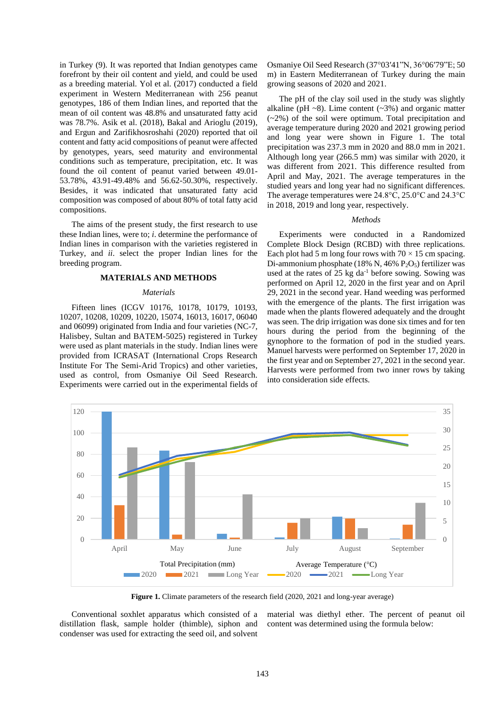in Turkey (9). It was reported that Indian genotypes came forefront by their oil content and yield, and could be used as a breeding material. Yol et al. (2017) conducted a field experiment in Western Mediterranean with 256 peanut genotypes, 186 of them Indian lines, and reported that the mean of oil content was 48.8% and unsaturated fatty acid was 78.7%. Asik et al. (2018), Bakal and Arioglu (2019), and Ergun and Zarifikhosroshahi (2020) reported that oil content and fatty acid compositions of peanut were affected by genotypes, years, seed maturity and environmental conditions such as temperature, precipitation, etc. It was found the oil content of peanut varied between 49.01- 53.78%, 43.91-49.48% and 56.62-50.30%, respectively. Besides, it was indicated that unsaturated fatty acid composition was composed of about 80% of total fatty acid compositions.

The aims of the present study, the first research to use these Indian lines, were to; *i*. determine the performance of Indian lines in comparison with the varieties registered in Turkey, and *ii*. select the proper Indian lines for the breeding program.

#### **MATERIALS AND METHODS**

#### *Materials*

Fifteen lines (ICGV 10176, 10178, 10179, 10193, 10207, 10208, 10209, 10220, 15074, 16013, 16017, 06040 and 06099) originated from India and four varieties (NC-7, Halisbey, Sultan and BATEM-5025) registered in Turkey were used as plant materials in the study. Indian lines were provided from ICRASAT (International Crops Research Institute For The Semi-Arid Tropics) and other varieties, used as control, from Osmaniye Oil Seed Research. Experiments were carried out in the experimental fields of Osmaniye Oil Seed Research (37°03ʹ41"N, 36°06ʹ79"E; 50 m) in Eastern Mediterranean of Turkey during the main growing seasons of 2020 and 2021.

The pH of the clay soil used in the study was slightly alkaline (pH  $\sim$ 8). Lime content ( $\sim$ 3%) and organic matter (~2%) of the soil were optimum. Total precipitation and average temperature during 2020 and 2021 growing period and long year were shown in Figure 1. The total precipitation was 237.3 mm in 2020 and 88.0 mm in 2021. Although long year (266.5 mm) was similar with 2020, it was different from 2021. This difference resulted from April and May, 2021. The average temperatures in the studied years and long year had no significant differences. The average temperatures were 24.8°C, 25.0°C and 24.3°C in 2018, 2019 and long year, respectively.

#### *Methods*

Experiments were conducted in a Randomized Complete Block Design (RCBD) with three replications. Each plot had 5 m long four rows with  $70 \times 15$  cm spacing. Di-ammonium phosphate (18% N, 46%  $P_2O_5$ ) fertilizer was used at the rates of  $25 \text{ kg da}^{-1}$  before sowing. Sowing was performed on April 12, 2020 in the first year and on April 29, 2021 in the second year. Hand weeding was performed with the emergence of the plants. The first irrigation was made when the plants flowered adequately and the drought was seen. The drip irrigation was done six times and for ten hours during the period from the beginning of the gynophore to the formation of pod in the studied years. Manuel harvests were performed on September 17, 2020 in the first year and on September 27, 2021 in the second year. Harvests were performed from two inner rows by taking into consideration side effects.



**Figure 1.** Climate parameters of the research field (2020, 2021 and long-year average)

Conventional soxhlet apparatus which consisted of a distillation flask, sample holder (thimble), siphon and condenser was used for extracting the seed oil, and solvent

material was diethyl ether. The percent of peanut oil content was determined using the formula below: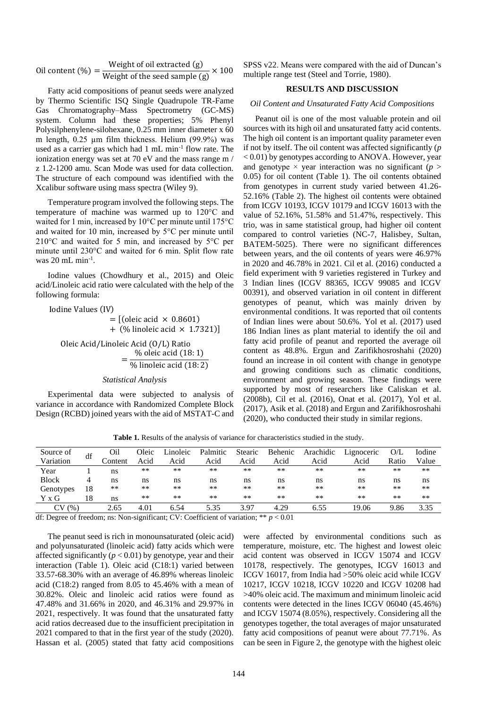$$
0il content (\%) = \frac{Weight of oil extracted (g)}{Weight of the seed sample (g)} \times 100
$$

Fatty acid compositions of peanut seeds were analyzed by Thermo Scientific ISQ Single Quadrupole TR-Fame Gas Chromatography–Mass Spectrometry (GC-MS) system. Column had these properties; 5% Phenyl Polysilphenylene-silohexane, 0.25 mm inner diameter x 60 m length, 0.25 µm film thickness. Helium (99.9%) was used as a carrier gas which had 1 mL min<sup>-1</sup> flow rate. The ionization energy was set at 70 eV and the mass range m / z 1.2-1200 amu. Scan Mode was used for data collection. The structure of each compound was identified with the Xcalibur software using mass spectra (Wiley 9).

Temperature program involved the following steps. The temperature of machine was warmed up to 120°C and waited for 1 min, increased by 10°C per minute until 175°C and waited for 10 min, increased by 5°C per minute until 210°C and waited for 5 min, and increased by 5°C per minute until 230°C and waited for 6 min. Split flow rate was 20 mL min<sup>-1</sup>.

Iodine values (Chowdhury et al., 2015) and Oleic acid/Linoleic acid ratio were calculated with the help of the following formula:

Iodine Values (IV)  $=$  [(oleic acid  $\times$  0.8601) + (% linoleic acid  $\times$  1.7321)]

Oleic Acid/Linoleic Acid (O/L) Ratio  $=\frac{\% \text{ eleic acid (18:1)}}{(\frac{1}{2})^2}$ % linoleic acid (18: 2)

#### *Statistical Analysis*

Experimental data were subjected to analysis of variance in accordance with Randomized Complete Block Design (RCBD) joined years with the aid of MSTAT-C and SPSS v22. Means were compared with the aid of Duncan's multiple range test (Steel and Torrie, 1980).

## **RESULTS AND DISCUSSION**

#### *Oil Content and Unsaturated Fatty Acid Compositions*

Peanut oil is one of the most valuable protein and oil sources with its high oil and unsaturated fatty acid contents. The high oil content is an important quality parameter even if not by itself. The oil content was affected significantly (*p* < 0.01) by genotypes according to ANOVA. However, year and genotype  $\times$  year interaction was no significant ( $p >$ 0.05) for oil content (Table 1). The oil contents obtained from genotypes in current study varied between 41.26- 52.16% (Table 2). The highest oil contents were obtained from ICGV 10193, ICGV 10179 and ICGV 16013 with the value of 52.16%, 51.58% and 51.47%, respectively. This trio, was in same statistical group, had higher oil content compared to control varieties (NC-7, Halisbey, Sultan, BATEM-5025). There were no significant differences between years, and the oil contents of years were 46.97% in 2020 and 46.78% in 2021. Cil et al. (2016) conducted a field experiment with 9 varieties registered in Turkey and 3 Indian lines (ICGV 88365, ICGV 99085 and ICGV 00391), and observed variation in oil content in different genotypes of peanut, which was mainly driven by environmental conditions. It was reported that oil contents of Indian lines were about 50.6%. Yol et al. (2017) used 186 Indian lines as plant material to identify the oil and fatty acid profile of peanut and reported the average oil content as 48.8%. Ergun and Zarifikhosroshahi (2020) found an increase in oil content with change in genotype and growing conditions such as climatic conditions, environment and growing season. These findings were supported by most of researchers like Caliskan et al. (2008b), Cil et al. (2016), Onat et al. (2017), Yol et al. (2017), Asik et al. (2018) and Ergun and Zarifikhosroshahi (2020), who conducted their study in similar regions.

| Source of            | df | Oil     | Oleic         | Linoleic      | Palmitic    | Stearic | Behenic     | Arachidic   | Lignoceric | O/L   | Iodine        |
|----------------------|----|---------|---------------|---------------|-------------|---------|-------------|-------------|------------|-------|---------------|
| Variation            |    | Content | Acid          | Acid          | Acid        | Acid    | Acid        | Acid        | Acid       | Ratio | Value         |
| Year                 |    | ns      | $\ast$ $\ast$ | $\ast$ $\ast$ | $\pm$ $\pm$ | $* *$   | $\pm$ $\pm$ | $\pm$ $\pm$ | $* *$      | $* *$ | $\ast$ $\ast$ |
| <b>Block</b>         |    | ns      | ns            | ns            | ns          | ns      | ns          | ns          | ns         | ns    | ns            |
| Genotypes            | 18 | $**$    | $* *$         | $\ast$ $\ast$ | $\pm$ $\pm$ | $* *$   | $\pm$ $\pm$ | $\pm$ $\pm$ | $* *$      | **    | $\ast$ $\ast$ |
| Y x G                | 18 | ns      | $* *$         | $\ast$ $\ast$ | $\pm$ $\pm$ | $* *$   | $\pm$ $\pm$ | $\pm$ $\pm$ | $* *$      | $* *$ | $\ast$ $\ast$ |
| $CV_{\cdot}$<br>(% ) |    | 2.65    | 4.01          | 6.54          | 5.35        | 3.97    | 4.29        | 6.55        | 19.06      | 9.86  | 3.35          |

**Table 1.** Results of the analysis of variance for characteristics studied in the study.

df: Degree of freedom; ns: Non-significant; CV: Coefficient of variation; \*\* *p* < 0.01

The peanut seed is rich in monounsaturated (oleic acid) and polyunsaturated (linoleic acid) fatty acids which were affected significantly  $(p < 0.01)$  by genotype, year and their interaction (Table 1). Oleic acid (C18:1) varied between 33.57-68.30% with an average of 46.89% whereas linoleic acid (C18:2) ranged from 8.05 to 45.46% with a mean of 30.82%. Oleic and linoleic acid ratios were found as 47.48% and 31.66% in 2020, and 46.31% and 29.97% in 2021, respectively. It was found that the unsaturated fatty acid ratios decreased due to the insufficient precipitation in 2021 compared to that in the first year of the study (2020). Hassan et al. (2005) stated that fatty acid compositions

were affected by environmental conditions such as temperature, moisture, etc. The highest and lowest oleic acid content was observed in ICGV 15074 and ICGV 10178, respectively. The genotypes, ICGV 16013 and ICGV 16017, from India had >50% oleic acid while ICGV 10217, ICGV 10218, ICGV 10220 and ICGV 10208 had >40% oleic acid. The maximum and minimum linoleic acid contents were detected in the lines ICGV 06040 (45.46%) and ICGV 15074 (8.05%), respectively. Considering all the genotypes together, the total averages of major unsaturated fatty acid compositions of peanut were about 77.71%. As can be seen in Figure 2, the genotype with the highest oleic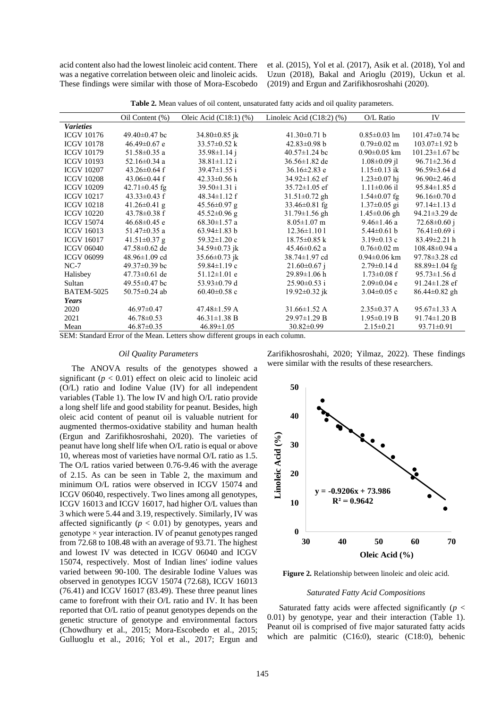acid content also had the lowest linoleic acid content. There was a negative correlation between oleic and linoleic acids. These findings were similar with those of Mora-Escobedo et al. (2015), Yol et al. (2017), Asik et al. (2018), Yol and Uzun (2018), Bakal and Arioglu (2019), Uckun et al. (2019) and Ergun and Zarifikhosroshahi (2020).

**Table 2.** Mean values of oil content, unsaturated fatty acids and oil quality parameters.

|                   | Oil Content (%)     | Oleic Acid $(C18:1)$ $(\%)$ | Linoleic Acid $(C18:2)$ $(\%)$ | O/L Ratio          | IV                   |
|-------------------|---------------------|-----------------------------|--------------------------------|--------------------|----------------------|
| <b>Varieties</b>  |                     |                             |                                |                    |                      |
| <b>ICGV 10176</b> | $49.40\pm0.47$ bc   | $34.80 \pm 0.85$ jk         | 41.30 $\pm$ 0.71 b             | $0.85 \pm 0.03$ lm | $101.47 \pm 0.74$ bc |
| <b>ICGV 10178</b> | $46.49 \pm 0.67$ e  | $33.57 \pm 0.52$ k          | $42.83 \pm 0.98$ b             | $0.79 \pm 0.02$ m  | $103.07 \pm 1.92 b$  |
| <b>ICGV 10179</b> | 51.58±0.35 a        | $35.98 \pm 1.14$ j          | $40.57 \pm 1.24$ bc            | $0.90 \pm 0.05$ km | $101.23 \pm 1.67$ bc |
| <b>ICGV 10193</b> | $52.16 \pm 0.34$ a  | $38.81 \pm 1.12$ i          | $36.56 \pm 1.82$ de            | $1.08 \pm 0.09$ il | $96.71 \pm 2.36$ d   |
| <b>ICGV 10207</b> | $43.26 \pm 0.64$ f  | $39.47 \pm 1.55$ i          | $36.16 \pm 2.83$ e             | $1.15 \pm 0.13$ ik | 96.59±3.64 d         |
| <b>ICGV 10208</b> | $43.06 \pm 0.44$ f  | $42.33 \pm 0.56$ h          | $34.92 \pm 1.62$ ef            | $1.23 \pm 0.07$ hi | $96.90 \pm 2.46$ d   |
| <b>ICGV 10209</b> | $42.71 \pm 0.45$ fg | $39.50 \pm 1.31$ i          | $35.72 \pm 1.05$ ef            | $1.11 \pm 0.06$ il | 95.84±1.85 d         |
| <b>ICGV 10217</b> | $43.33 \pm 0.43$ f  | $48.34 \pm 1.12$ f          | $31.51 \pm 0.72$ gh            | $1.54 \pm 0.07$ fg | $96.16 \pm 0.70$ d   |
| <b>ICGV 10218</b> | 41.26 $\pm$ 0.41 g  | $45.56 \pm 0.97$ g          | $33.46 \pm 0.81$ fg            | $1.37 \pm 0.05$ gi | $97.14 \pm 1.13$ d   |
| <b>ICGV 10220</b> | $43.78 \pm 0.38$ f  | $45.52 \pm 0.96$ g          | $31.79 \pm 1.56$ gh            | $1.45 \pm 0.06$ gh | 94.21 $\pm$ 3.29 de  |
| <b>ICGV 15074</b> | $46.68 \pm 0.45$ e  | $68.30 \pm 1.57$ a          | $8.05 \pm 1.07$ m              | $9.46 \pm 1.46$ a  | 72.68 $\pm$ 0.60 j   |
| <b>ICGV 16013</b> | 51.47±0.35 a        | $63.94 \pm 1.83$ b          | $12.36 \pm 1.101$              | $5.44 \pm 0.61$ b  | $76.41 \pm 0.69$ i   |
| <b>ICGV 16017</b> | $41.51 \pm 0.37$ g  | $59.32 \pm 1.20$ c          | $18.75 \pm 0.85 \text{ k}$     | $3.19 \pm 0.13$ c  | $83.49 \pm 2.21$ h   |
| <b>ICGV 06040</b> | $47.58 \pm 0.62$ de | $34.59 \pm 0.73$ jk         | $45.46 \pm 0.62$ a             | $0.76 \pm 0.02$ m  | $108.48 \pm 0.94$ a  |
| <b>ICGV 06099</b> | $48.96 \pm 1.09$ cd | 35.66 $\pm$ 0.73 jk         | 38.74±1.97 cd                  | $0.94 \pm 0.06$ km | $97.78 \pm 3.28$ cd  |
| $NC-7$            | $49.37 \pm 0.39$ bc | $59.84 \pm 1.19$ c          | $21.60 \pm 0.67$ j             | $2.79 \pm 0.14$ d  | $88.89 \pm 1.04$ fg  |
| Halisbey          | $47.73 \pm 0.61$ de | $51.12 \pm 1.01$ e          | $29.89 \pm 1.06$ h             | $1.73 \pm 0.08$ f  | $95.73 \pm 1.56$ d   |
| Sultan            | $49.55 \pm 0.47$ bc | 53.93 $\pm$ 0.79 d          | $25.90 \pm 0.53$ i             | $2.09 \pm 0.04$ e  | $91.24 \pm 1.28$ ef  |
| <b>BATEM-5025</b> | 50.75 $\pm$ 0.24 ab | $60.40 \pm 0.58$ c          | 19.92 $\pm$ 0.32 jk            | $3.04 \pm 0.05$ c  | $86.44 \pm 0.82$ gh  |
| Years             |                     |                             |                                |                    |                      |
| 2020              | $46.97 \pm 0.47$    | $47.48 \pm 1.59$ A          | $31.66 \pm 1.52$ A             | $2.35 \pm 0.37$ A  | $95.67 \pm 1.33$ A   |
| 2021              | $46.78 \pm 0.53$    | $46.31 \pm 1.38$ B          | $29.97 \pm 1.29$ B             | $1.95 \pm 0.19$ B  | $91.74 \pm 1.20 B$   |
| Mean              | $46.87 \pm 0.35$    | $46.89 \pm 1.05$            | $30.82 \pm 0.99$               | $2.15 \pm 0.21$    | $93.71 \pm 0.91$     |

SEM: Standard Error of the Mean. Letters show different groups in each column.

#### *Oil Quality Parameters*

The ANOVA results of the genotypes showed a significant  $(p < 0.01)$  effect on oleic acid to linoleic acid (O/L) ratio and Iodine Value (IV) for all independent variables (Table 1). The low IV and high O/L ratio provide a long shelf life and good stability for peanut. Besides, high oleic acid content of peanut oil is valuable nutrient for augmented thermos-oxidative stability and human health (Ergun and Zarifikhosroshahi, 2020). The varieties of peanut have long shelf life when O/L ratio is equal or above 10, whereas most of varieties have normal O/L ratio as 1.5. The O/L ratios varied between 0.76-9.46 with the average of 2.15. As can be seen in Table 2, the maximum and minimum O/L ratios were observed in ICGV 15074 and ICGV 06040, respectively. Two lines among all genotypes, ICGV 16013 and ICGV 16017, had higher O/L values than 3 which were 5.44 and 3.19, respectively. Similarly, IV was affected significantly  $(p < 0.01)$  by genotypes, years and genotype  $\times$  year interaction. IV of peanut genotypes ranged from 72.68 to 108.48 with an average of 93.71. The highest and lowest IV was detected in ICGV 06040 and ICGV 15074, respectively. Most of Indian lines' iodine values varied between 90-100. The desirable Iodine Values was observed in genotypes ICGV 15074 (72.68), ICGV 16013 (76.41) and ICGV 16017 (83.49). These three peanut lines came to forefront with their O/L ratio and IV. It has been reported that O/L ratio of peanut genotypes depends on the genetic structure of genotype and environmental factors (Chowdhury et al., 2015; Mora-Escobedo et al., 2015; Gulluoglu et al., 2016; Yol et al., 2017; Ergun and

Zarifikhosroshahi, 2020; Yilmaz, 2022). These findings were similar with the results of these researchers.



**Figure 2.** Relationship between linoleic and oleic acid.

#### *Saturated Fatty Acid Compositions*

Saturated fatty acids were affected significantly (*p* < 0.01) by genotype, year and their interaction (Table 1). Peanut oil is comprised of five major saturated fatty acids which are palmitic (C16:0), stearic (C18:0), behenic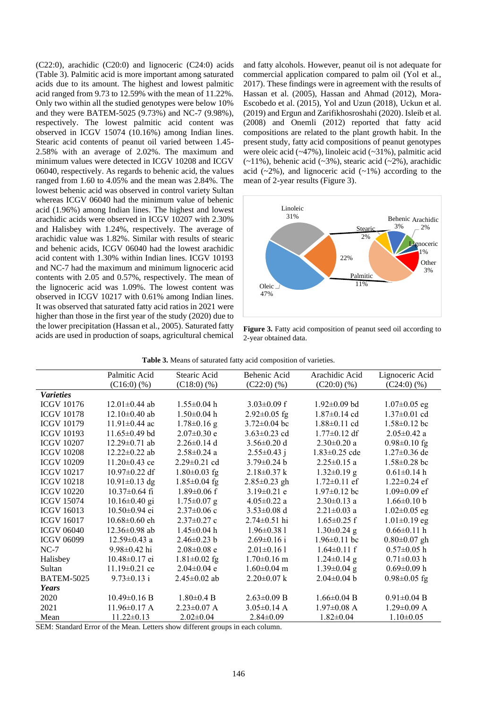(C22:0), arachidic (C20:0) and lignoceric (C24:0) acids (Table 3). Palmitic acid is more important among saturated acids due to its amount. The highest and lowest palmitic acid ranged from 9.73 to 12.59% with the mean of 11.22%. Only two within all the studied genotypes were below 10% and they were BATEM-5025 (9.73%) and NC-7 (9.98%), respectively. The lowest palmitic acid content was observed in ICGV 15074 (10.16%) among Indian lines. Stearic acid contents of peanut oil varied between 1.45- 2.58% with an average of 2.02%. The maximum and minimum values were detected in ICGV 10208 and ICGV 06040, respectively. As regards to behenic acid, the values ranged from 1.60 to 4.05% and the mean was 2.84%. The lowest behenic acid was observed in control variety Sultan whereas ICGV 06040 had the minimum value of behenic acid (1.96%) among Indian lines. The highest and lowest arachidic acids were observed in ICGV 10207 with 2.30% and Halisbey with 1.24%, respectively. The average of arachidic value was 1.82%. Similar with results of stearic and behenic acids, ICGV 06040 had the lowest arachidic acid content with 1.30% within Indian lines. ICGV 10193 and NC-7 had the maximum and minimum lignoceric acid contents with 2.05 and 0.57%, respectively. The mean of the lignoceric acid was 1.09%. The lowest content was observed in ICGV 10217 with 0.61% among Indian lines. It was observed that saturated fatty acid ratios in 2021 were higher than those in the first year of the study (2020) due to the lower precipitation (Hassan et al., 2005). Saturated fatty acids are used in production of soaps, agricultural chemical

and fatty alcohols. However, peanut oil is not adequate for commercial application compared to palm oil (Yol et al., 2017). These findings were in agreement with the results of Hassan et al. (2005), Hassan and Ahmad (2012), Mora-Escobedo et al. (2015), Yol and Uzun (2018), Uckun et al. (2019) and Ergun and Zarifikhosroshahi (2020). Isleib et al. (2008) and Onemli (2012) reported that fatty acid compositions are related to the plant growth habit. In the present study, fatty acid compositions of peanut genotypes were oleic acid (~47%), linoleic acid (~31%), palmitic acid  $(-11\%)$ , behenic acid  $(-3\%)$ , stearic acid  $(-2\%)$ , arachidic acid  $(-2\%)$ , and lignoceric acid  $(-1\%)$  according to the mean of 2-year results (Figure 3).



**Figure 3.** Fatty acid composition of peanut seed oil according to 2-year obtained data.

| <b>Table 3.</b> Means of saturated fatty acid composition of varieties. |  |
|-------------------------------------------------------------------------|--|
|                                                                         |  |

|                   | Palmitic Acid       | Stearic Acid       | Behenic Acid       | Arachidic Acid      | Lignoceric Acid    |
|-------------------|---------------------|--------------------|--------------------|---------------------|--------------------|
|                   | $(C16:0)$ (%)       | $(C18:0)$ $(\%)$   | $(C22:0)$ $(\%)$   | $(C20:0)$ $(\%)$    | $(C24:0)$ $(\%)$   |
| <b>Varieties</b>  |                     |                    |                    |                     |                    |
| <b>ICGV 10176</b> | $12.01 \pm 0.44$ ab | $1.55 \pm 0.04$ h  | $3.03 \pm 0.09$ f  | $1.92 \pm 0.09$ bd  | $1.07 \pm 0.05$ eg |
| <b>ICGV 10178</b> | $12.10\pm0.40$ ab   | $1.50\pm0.04$ h    | $2.92 \pm 0.05$ fg | $1.87 \pm 0.14$ cd  | $1.37 \pm 0.01$ cd |
| <b>ICGV 10179</b> | $11.91 \pm 0.44$ ac | $1.78 \pm 0.16$ g  | $3.72 \pm 0.04$ bc | $1.88 \pm 0.11$ cd  | $1.58 \pm 0.12$ bc |
| <b>ICGV 10193</b> | $11.65\pm0.49$ bd   | $2.07 \pm 0.30$ e  | $3.63 \pm 0.23$ cd | $1.77 \pm 0.12$ df  | $2.05 \pm 0.42$ a  |
| <b>ICGV 10207</b> | $12.29 \pm 0.71$ ab | $2.26\pm0.14$ d    | $3.56 \pm 0.20$ d  | $2.30 \pm 0.20$ a   | $0.98 \pm 0.10$ fg |
| <b>ICGV 10208</b> | $12.22 \pm 0.22$ ab | $2.58 \pm 0.24$ a  | $2.55 \pm 0.43$ j  | $1.83 \pm 0.25$ cde | $1.27 \pm 0.36$ de |
| <b>ICGV 10209</b> | $11.20 \pm 0.43$ ce | $2.29 \pm 0.21$ cd | $3.79 \pm 0.24$ b  | $2.25 \pm 0.15$ a   | $1.58 \pm 0.28$ bc |
| <b>ICGV 10217</b> | $10.97 \pm 0.22$ df | $1.80\pm0.03$ fg   | $2.18 \pm 0.37$ k  | $1.32 \pm 0.19$ g   | $0.61 \pm 0.14$ h  |
| <b>ICGV 10218</b> | $10.91 \pm 0.13$ dg | $1.85 \pm 0.04$ fg | $2.85 \pm 0.23$ gh | $1.72 \pm 0.11$ ef  | $1.22 \pm 0.24$ ef |
| <b>ICGV 10220</b> | $10.37 \pm 0.64$ fi | $1.89 \pm 0.06$ f  | $3.19 \pm 0.21$ e  | $1.97 \pm 0.12$ bc  | $1.09 \pm 0.09$ ef |
| <b>ICGV 15074</b> | $10.16 \pm 0.40$ gi | $1.75 \pm 0.07$ g  | $4.05 \pm 0.22$ a  | $2.30\pm0.13$ a     | $1.66 \pm 0.10 b$  |
| <b>ICGV 16013</b> | $10.50 \pm 0.94$ ei | $2.37\pm0.06$ c    | $3.53 \pm 0.08$ d  | $2.21 \pm 0.03$ a   | $1.02 \pm 0.05$ eg |
| <b>ICGV 16017</b> | $10.68 \pm 0.60$ eh | $2.37 \pm 0.27$ c  | $2.74 \pm 0.51$ hi | $1.65 \pm 0.25$ f   | $1.01 \pm 0.19$ eg |
| <b>ICGV 06040</b> | $12.36 \pm 0.98$ ab | $1.45 \pm 0.04$ h  | $1.96 \pm 0.381$   | $1.30\pm0.24$ g     | $0.66 \pm 0.11$ h  |
| <b>ICGV 06099</b> | $12.59 \pm 0.43$ a  | $2.46 \pm 0.23$ b  | $2.69 \pm 0.16$ i  | $1.96 \pm 0.11$ bc  | $0.80 \pm 0.07$ gh |
| $NC-7$            | $9.98\pm0.42$ hi    | $2.08\pm0.08$ e    | $2.01 \pm 0.161$   | $1.64 \pm 0.11$ f   | $0.57 \pm 0.05$ h  |
| Halisbey          | $10.48 \pm 0.17$ ei | $1.81 \pm 0.02$ fg | $1.70\pm0.16$ m    | $1.24 \pm 0.14$ g   | $0.71 \pm 0.03$ h  |
| Sultan            | $11.19 \pm 0.21$ ce | $2.04 \pm 0.04$ e  | $1.60 \pm 0.04$ m  | $1.39 \pm 0.04$ g   | $0.69 \pm 0.09$ h  |
| <b>BATEM-5025</b> | $9.73 \pm 0.13$ i   | $2.45\pm0.02$ ab   | $2.20 \pm 0.07$ k  | $2.04\pm0.04$ b     | $0.98 \pm 0.05$ fg |
| Years             |                     |                    |                    |                     |                    |
| 2020              | $10.49 \pm 0.16$ B  | $1.80 \pm 0.4 B$   | $2.63 \pm 0.09$ B  | $1.66 \pm 0.04$ B   | $0.91 \pm 0.04$ B  |
| 2021              | $11.96 \pm 0.17$ A  | $2.23 \pm 0.07$ A  | $3.05 \pm 0.14$ A  | $1.97 \pm 0.08$ A   | $1.29 \pm 0.09$ A  |
| Mean              | $11.22 \pm 0.13$    | $2.02\pm0.04$      | $2.84\pm0.09$      | $1.82 \pm 0.04$     | $1.10\pm0.05$      |

SEM: Standard Error of the Mean. Letters show different groups in each column.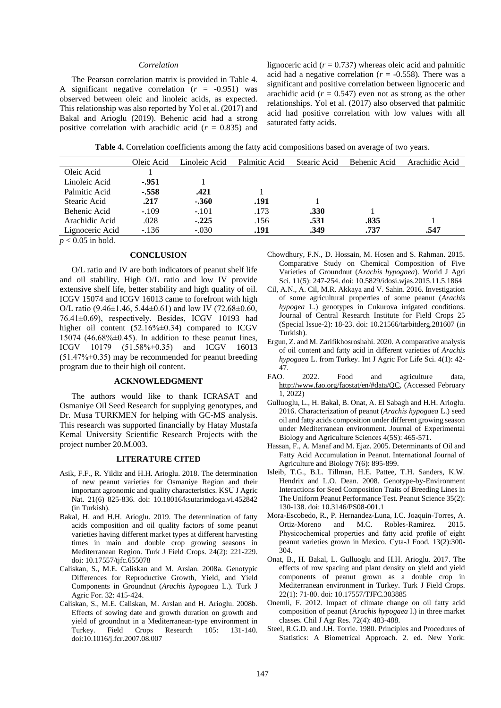#### *Correlation*

The Pearson correlation matrix is provided in Table 4. A significant negative correlation  $(r = -0.951)$  was observed between oleic and linoleic acids, as expected. This relationship was also reported by Yol et al. (2017) and Bakal and Arioglu (2019). Behenic acid had a strong positive correlation with arachidic acid (*r* = 0.835) and lignoceric acid  $(r = 0.737)$  whereas oleic acid and palmitic acid had a negative correlation  $(r = -0.558)$ . There was a significant and positive correlation between lignoceric and arachidic acid  $(r = 0.547)$  even not as strong as the other relationships. Yol et al. (2017) also observed that palmitic acid had positive correlation with low values with all saturated fatty acids.

**Table 4.** Correlation coefficients among the fatty acid compositions based on average of two years.

|                 | Oleic Acid | Linoleic Acid | Palmitic Acid | Stearic Acid | Behenic Acid | Arachidic Acid |
|-----------------|------------|---------------|---------------|--------------|--------------|----------------|
| Oleic Acid      |            |               |               |              |              |                |
| Linoleic Acid   | -.951      |               |               |              |              |                |
| Palmitic Acid   | $-.558$    | .421          |               |              |              |                |
| Stearic Acid    | .217       | $-.360$       | .191          |              |              |                |
| Behenic Acid    | $-.109$    | $-.101$       | .173          | .330         |              |                |
| Arachidic Acid  | .028       | $-.225$       | .156          | .531         | .835         |                |
| Lignoceric Acid | $-.136$    | $-.030$       | .191          | .349         | .737         | .547           |
|                 |            |               |               |              |              |                |

 $p < 0.05$  in bold.

## **CONCLUSION**

O/L ratio and IV are both indicators of peanut shelf life and oil stability. High O/L ratio and low IV provide extensive shelf life, better stability and high quality of oil. ICGV 15074 and ICGV 16013 came to forefront with high O/L ratio (9.46 $\pm$ 1.46, 5.44 $\pm$ 0.61) and low IV (72.68 $\pm$ 0.60, 76.41±0.69), respectively. Besides, ICGV 10193 had higher oil content (52.16%±0.34) compared to ICGV 15074 (46.68% $\pm$ 0.45). In addition to these peanut lines, ICGV 10179 (51.58%±0.35) and ICGV 16013 (51.47%±0.35) may be recommended for peanut breeding program due to their high oil content.

#### **ACKNOWLEDGMENT**

The authors would like to thank ICRASAT and Osmaniye Oil Seed Research for supplying genotypes, and Dr. Musa TURKMEN for helping with GC-MS analysis. This research was supported financially by Hatay Mustafa Kemal University Scientific Research Projects with the project number 20.M.003.

#### **LITERATURE CITED**

- Asik, F.F., R. Yildiz and H.H. Arioglu. 2018. The determination of new peanut varieties for Osmaniye Region and their important agronomic and quality characteristics. KSU J Agric Nat. 21(6) 825-836. doi: 10.18016/ksutarimdoga.vi.452842 (in Turkish).
- Bakal, H. and H.H. Arioglu. 2019. The determination of fatty acids composition and oil quality factors of some peanut varieties having different market types at different harvesting times in main and double crop growing seasons in Mediterranean Region. Turk J Field Crops. 24(2): 221-229. doi: 10.17557/tjfc.655078
- Caliskan, S., M.E. Caliskan and M. Arslan. 2008a. Genotypic Differences for Reproductive Growth, Yield, and Yield Components in Groundnut (*Arachis hypogaea* L.). Turk J Agric For. 32: 415-424.
- Caliskan, S., M.E. Caliskan, M. Arslan and H. Arioglu. 2008b. Effects of sowing date and growth duration on growth and yield of groundnut in a Mediterranean-type environment in Turkey. Field Crops Research 105: 131-140. doi:10.1016/j.fcr.2007.08.007
- Chowdhury, F.N., D. Hossain, M. Hosen and S. Rahman. 2015. Comparative Study on Chemical Composition of Five Varieties of Groundnut (A*rachis hypogaea*). World J Agri Sci. 11(5): 247-254. doi: 10.5829/idosi.wjas.2015.11.5.1864
- Cil, A.N., A. Cil, M.R. Akkaya and V. Sahin. 2016. Investigation of some agricultural properties of some peanut (*Arachis hypogea* L.) genotypes in Cukurova irrigated conditions. Journal of Central Research Institute for Field Crops 25 (Special Issue-2): 18-23. doi: 10.21566/tarbitderg.281607 (in Turkish).
- Ergun, Z. and M. Zarifikhosroshahi. 2020. A comparative analysis of oil content and fatty acid in different varieties of *Arachis hypogaea* L. from Turkey. Int J Agric For Life Sci. 4(1): 42- 47.
- FAO. 2022. Food and agriculture data, [http://www.fao.org/faostat/en/#data/QC,](http://www.fao.org/faostat/en/#data/QC) (Accessed February 1, 2022)
- Gulluoglu, L., H. Bakal, B. Onat, A. El Sabagh and H.H. Arioglu. 2016. Characterization of peanut (*Arachis hypogaea* L.) seed oil and fatty acids composition under different growing season under Mediterranean environment. Journal of Experimental Biology and Agriculture Sciences 4(5S): 465-571.
- Hassan, F., A. Manaf and M. Ejaz. 2005. Determinants of Oil and Fatty Acid Accumulation in Peanut. International Journal of Agriculture and Biology 7(6): 895-899.
- Isleib, T.G., B.L. Tillman, H.E. Pattee, T.H. Sanders, K.W. Hendrix and L.O. Dean. 2008. Genotype-by-Environment Interactions for Seed Composition Traits of Breeding Lines in The Uniform Peanut Performance Test. Peanut Science 35(2): 130-138. doi: 10.3146/PS08-001.1
- Mora-Escobedo, R., P. Hernandez-Luna, I.C. Joaquin-Torres, A. Ortiz-Moreno and M.C. Robles-Ramirez. 2015. Physicochemical properties and fatty acid profile of eight peanut varieties grown in Mexico. Cyta-J Food. 13(2):300- 304.
- Onat, B., H. Bakal, L. Gulluoglu and H.H. Arioglu. 2017. The effects of row spacing and plant density on yield and yield components of peanut grown as a double crop in Mediterranean environment in Turkey. Turk J Field Crops. 22(1): 71-80. doi: 10.17557/TJFC.303885
- Onemli, F. 2012. Impact of climate change on oil fatty acid composition of peanut (A*rachis hypogaea* l.) in three market classes. Chil J Agr Res. 72(4): 483-488.
- Steel, R.G.D. and J.H. Torrie. 1980. Principles and Procedures of Statistics: A Biometrical Approach. 2. ed. New York: